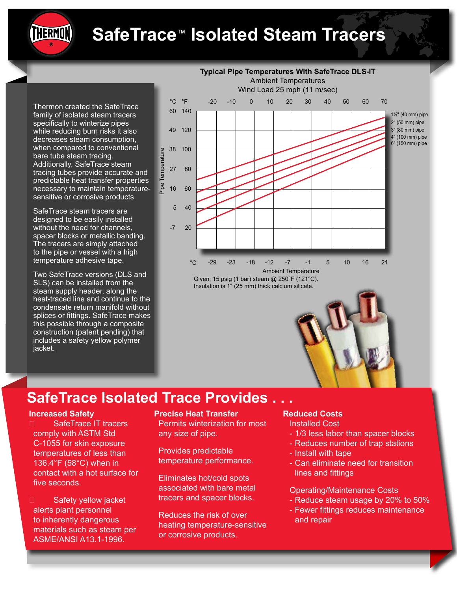# **SafeTrace**™ **Isolated Steam Tracers**

Thermon created the SafeTrace family of isolated steam tracers specifically to winterize pipes while reducing burn risks it also decreases steam consumption, when compared to conventional bare tube steam tracing. Additionally, SafeTrace steam tracing tubes provide accurate and predictable heat transfer properties necessary to maintain temperaturesensitive or corrosive products.

THERMON

SafeTrace steam tracers are designed to be easily installed without the need for channels, spacer blocks or metallic banding. The tracers are simply attached to the pipe or vessel with a high temperature adhesive tape.

Two SafeTrace versions (DLS and SLS) can be installed from the steam supply header, along the heat-traced line and continue to the condensate return manifold without splices or fittings. SafeTrace makes this possible through a composite construction (patent pending) that includes a safety yellow polymer jacket.



# **SafeTrace Isolated Trace Provides . . .**

#### **Increased Safety**

- □ SafeTrace IT tracers comply with ASTM Std C-1055 for skin exposure temperatures of less than 136.4°F (58°C) when in contact with a hot surface for five seconds.
- □ Safety yellow jacket alerts plant personnel to inherently dangerous materials such as steam per ASME/ANSI A13.1-1996.

#### **Precise Heat Transfer**

 Permits winterization for most any size of pipe.

 Provides predictable temperature performance.

 Eliminates hot/cold spots associated with bare metal tracers and spacer blocks.

 Reduces the risk of over heating temperature-sensitive or corrosive products.

#### **Reduced Costs**

 Installed Cost

- 1/3 less labor than spacer blocks
- Reduces number of trap stations
- Install with tape
- Can eliminate need for transition lines and fittings

#### Operating/Maintenance Costs

- Reduce steam usage by 20% to 50% - Fewer fittings reduces maintenance
- and repair